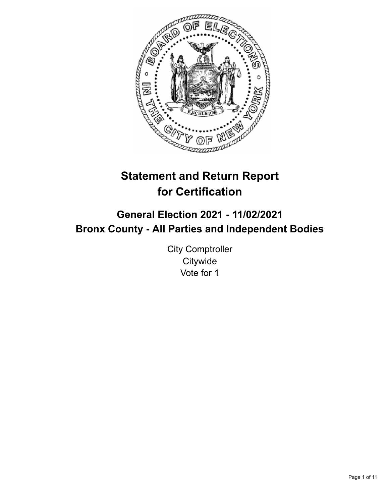

# **Statement and Return Report for Certification**

## **General Election 2021 - 11/02/2021 Bronx County - All Parties and Independent Bodies**

City Comptroller **Citywide** Vote for 1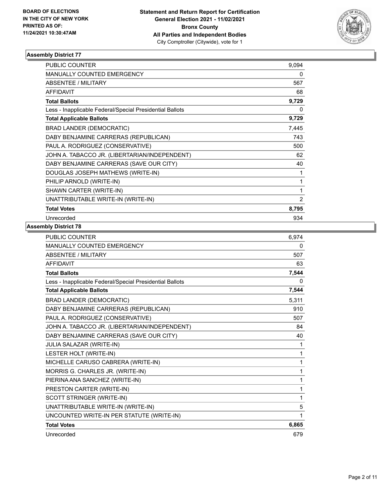

| <b>PUBLIC COUNTER</b>                                    | 9,094          |
|----------------------------------------------------------|----------------|
| <b>MANUALLY COUNTED EMERGENCY</b>                        | 0              |
| <b>ABSENTEE / MILITARY</b>                               | 567            |
| <b>AFFIDAVIT</b>                                         | 68             |
| <b>Total Ballots</b>                                     | 9,729          |
| Less - Inapplicable Federal/Special Presidential Ballots | 0              |
| <b>Total Applicable Ballots</b>                          | 9,729          |
| <b>BRAD LANDER (DEMOCRATIC)</b>                          | 7,445          |
| DABY BENJAMINE CARRERAS (REPUBLICAN)                     | 743            |
| PAUL A. RODRIGUEZ (CONSERVATIVE)                         | 500            |
| JOHN A. TABACCO JR. (LIBERTARIAN/INDEPENDENT)            | 62             |
| DABY BENJAMINE CARRERAS (SAVE OUR CITY)                  | 40             |
| DOUGLAS JOSEPH MATHEWS (WRITE-IN)                        | 1              |
| PHILIP ARNOLD (WRITE-IN)                                 | 1              |
| SHAWN CARTER (WRITE-IN)                                  | 1              |
| UNATTRIBUTABLE WRITE-IN (WRITE-IN)                       | $\overline{2}$ |
| <b>Total Votes</b>                                       | 8,795          |
| Unrecorded                                               | 934            |

| <b>PUBLIC COUNTER</b>                                    | 6,974 |
|----------------------------------------------------------|-------|
| <b>MANUALLY COUNTED EMERGENCY</b>                        | 0     |
| <b>ABSENTEE / MILITARY</b>                               | 507   |
| <b>AFFIDAVIT</b>                                         | 63    |
| <b>Total Ballots</b>                                     | 7,544 |
| Less - Inapplicable Federal/Special Presidential Ballots | 0     |
| <b>Total Applicable Ballots</b>                          | 7,544 |
| <b>BRAD LANDER (DEMOCRATIC)</b>                          | 5.311 |
| DABY BENJAMINE CARRERAS (REPUBLICAN)                     | 910   |
| PAUL A. RODRIGUEZ (CONSERVATIVE)                         | 507   |
| JOHN A. TABACCO JR. (LIBERTARIAN/INDEPENDENT)            | 84    |
| DABY BENJAMINE CARRERAS (SAVE OUR CITY)                  | 40    |
| JULIA SALAZAR (WRITE-IN)                                 | 1     |
| LESTER HOLT (WRITE-IN)                                   | 1     |
| MICHELLE CARUSO CABRERA (WRITE-IN)                       | 1     |
| MORRIS G. CHARLES JR. (WRITE-IN)                         | 1     |
| PIERINA ANA SANCHEZ (WRITE-IN)                           | 1     |
| PRESTON CARTER (WRITE-IN)                                | 1     |
| SCOTT STRINGER (WRITE-IN)                                | 1     |
| UNATTRIBUTABLE WRITE-IN (WRITE-IN)                       | 5     |
| UNCOUNTED WRITE-IN PER STATUTE (WRITE-IN)                | 1     |
| <b>Total Votes</b>                                       | 6,865 |
| Unrecorded                                               | 679   |
|                                                          |       |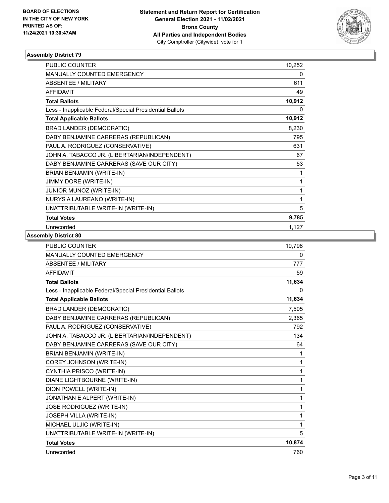

| <b>PUBLIC COUNTER</b>                                    | 10,252 |
|----------------------------------------------------------|--------|
| MANUALLY COUNTED EMERGENCY                               | 0      |
| <b>ABSENTEE / MILITARY</b>                               | 611    |
| <b>AFFIDAVIT</b>                                         | 49     |
| <b>Total Ballots</b>                                     | 10,912 |
| Less - Inapplicable Federal/Special Presidential Ballots | 0      |
| <b>Total Applicable Ballots</b>                          | 10,912 |
| <b>BRAD LANDER (DEMOCRATIC)</b>                          | 8,230  |
| DABY BENJAMINE CARRERAS (REPUBLICAN)                     | 795    |
| PAUL A. RODRIGUEZ (CONSERVATIVE)                         | 631    |
| JOHN A. TABACCO JR. (LIBERTARIAN/INDEPENDENT)            | 67     |
| DABY BENJAMINE CARRERAS (SAVE OUR CITY)                  | 53     |
| BRIAN BENJAMIN (WRITE-IN)                                | 1      |
| JIMMY DORE (WRITE-IN)                                    | 1      |
| JUNIOR MUNOZ (WRITE-IN)                                  | 1      |
| NURYS A LAUREANO (WRITE-IN)                              | 1      |
| UNATTRIBUTABLE WRITE-IN (WRITE-IN)                       | 5      |
| <b>Total Votes</b>                                       | 9,785  |
| Unrecorded                                               | 1,127  |

| <b>PUBLIC COUNTER</b>                                    | 10,798 |
|----------------------------------------------------------|--------|
| MANUALLY COUNTED EMERGENCY                               | 0      |
| ABSENTEE / MILITARY                                      | 777    |
| <b>AFFIDAVIT</b>                                         | 59     |
| <b>Total Ballots</b>                                     | 11,634 |
| Less - Inapplicable Federal/Special Presidential Ballots | 0      |
| <b>Total Applicable Ballots</b>                          | 11,634 |
| <b>BRAD LANDER (DEMOCRATIC)</b>                          | 7,505  |
| DABY BENJAMINE CARRERAS (REPUBLICAN)                     | 2,365  |
| PAUL A. RODRIGUEZ (CONSERVATIVE)                         | 792    |
| JOHN A. TABACCO JR. (LIBERTARIAN/INDEPENDENT)            | 134    |
| DABY BENJAMINE CARRERAS (SAVE OUR CITY)                  | 64     |
| BRIAN BENJAMIN (WRITE-IN)                                | 1      |
| COREY JOHNSON (WRITE-IN)                                 | 1      |
| CYNTHIA PRISCO (WRITE-IN)                                | 1      |
| DIANE LIGHTBOURNE (WRITE-IN)                             | 1      |
| DION POWELL (WRITE-IN)                                   | 1      |
| JONATHAN E ALPERT (WRITE-IN)                             | 1      |
| JOSE RODRIGUEZ (WRITE-IN)                                | 1      |
| JOSEPH VILLA (WRITE-IN)                                  | 1      |
| MICHAEL ULJIC (WRITE-IN)                                 | 1      |
| UNATTRIBUTABLE WRITE-IN (WRITE-IN)                       | 5      |
| <b>Total Votes</b>                                       | 10,874 |
| Unrecorded                                               | 760    |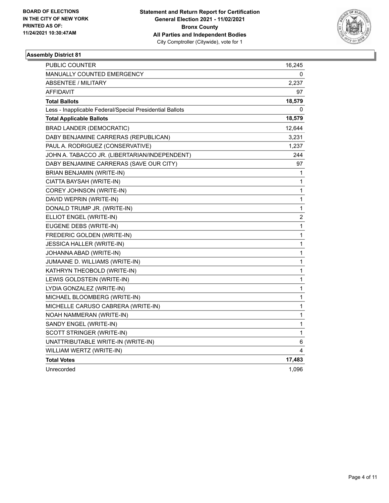

| PUBLIC COUNTER                                           | 16,245                  |
|----------------------------------------------------------|-------------------------|
| <b>MANUALLY COUNTED EMERGENCY</b>                        | 0                       |
| <b>ABSENTEE / MILITARY</b>                               | 2,237                   |
| <b>AFFIDAVIT</b>                                         | 97                      |
| <b>Total Ballots</b>                                     | 18,579                  |
| Less - Inapplicable Federal/Special Presidential Ballots | 0                       |
| <b>Total Applicable Ballots</b>                          | 18,579                  |
| <b>BRAD LANDER (DEMOCRATIC)</b>                          | 12,644                  |
| DABY BENJAMINE CARRERAS (REPUBLICAN)                     | 3,231                   |
| PAUL A. RODRIGUEZ (CONSERVATIVE)                         | 1,237                   |
| JOHN A. TABACCO JR. (LIBERTARIAN/INDEPENDENT)            | 244                     |
| DABY BENJAMINE CARRERAS (SAVE OUR CITY)                  | 97                      |
| BRIAN BENJAMIN (WRITE-IN)                                | 1                       |
| CIATTA BAYSAH (WRITE-IN)                                 | 1                       |
| COREY JOHNSON (WRITE-IN)                                 | 1                       |
| DAVID WEPRIN (WRITE-IN)                                  | $\mathbf{1}$            |
| DONALD TRUMP JR. (WRITE-IN)                              | 1                       |
| ELLIOT ENGEL (WRITE-IN)                                  | $\overline{\mathbf{c}}$ |
| EUGENE DEBS (WRITE-IN)                                   | 1                       |
| FREDERIC GOLDEN (WRITE-IN)                               | $\mathbf{1}$            |
| <b>JESSICA HALLER (WRITE-IN)</b>                         | 1                       |
| JOHANNA ABAD (WRITE-IN)                                  | $\mathbf{1}$            |
| JUMAANE D. WILLIAMS (WRITE-IN)                           | $\mathbf{1}$            |
| KATHRYN THEOBOLD (WRITE-IN)                              | 1                       |
| LEWIS GOLDSTEIN (WRITE-IN)                               | 1                       |
| LYDIA GONZALEZ (WRITE-IN)                                | 1                       |
| MICHAEL BLOOMBERG (WRITE-IN)                             | 1                       |
| MICHELLE CARUSO CABRERA (WRITE-IN)                       | 1                       |
| NOAH NAMMERAN (WRITE-IN)                                 | $\mathbf{1}$            |
| SANDY ENGEL (WRITE-IN)                                   | 1                       |
| SCOTT STRINGER (WRITE-IN)                                | $\mathbf{1}$            |
| UNATTRIBUTABLE WRITE-IN (WRITE-IN)                       | 6                       |
| WILLIAM WERTZ (WRITE-IN)                                 | 4                       |
| <b>Total Votes</b>                                       | 17,483                  |
| Unrecorded                                               | 1,096                   |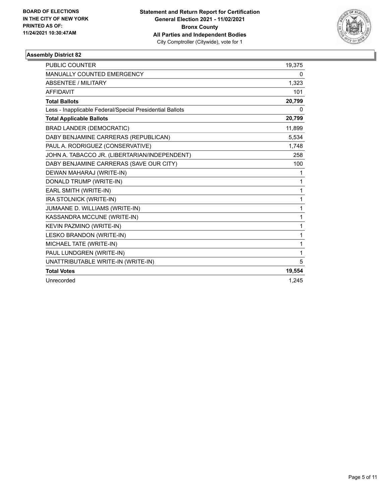

| <b>PUBLIC COUNTER</b>                                    | 19,375 |
|----------------------------------------------------------|--------|
| MANUALLY COUNTED EMERGENCY                               | 0      |
| <b>ABSENTEE / MILITARY</b>                               | 1,323  |
| <b>AFFIDAVIT</b>                                         | 101    |
| <b>Total Ballots</b>                                     | 20,799 |
| Less - Inapplicable Federal/Special Presidential Ballots | 0      |
| <b>Total Applicable Ballots</b>                          | 20,799 |
| <b>BRAD LANDER (DEMOCRATIC)</b>                          | 11,899 |
| DABY BENJAMINE CARRERAS (REPUBLICAN)                     | 5,534  |
| PAUL A. RODRIGUEZ (CONSERVATIVE)                         | 1,748  |
| JOHN A. TABACCO JR. (LIBERTARIAN/INDEPENDENT)            | 258    |
| DABY BENJAMINE CARRERAS (SAVE OUR CITY)                  | 100    |
| DEWAN MAHARAJ (WRITE-IN)                                 | 1      |
| DONALD TRUMP (WRITE-IN)                                  | 1      |
| EARL SMITH (WRITE-IN)                                    | 1      |
| IRA STOLNICK (WRITE-IN)                                  | 1      |
| JUMAANE D. WILLIAMS (WRITE-IN)                           | 1      |
| KASSANDRA MCCUNE (WRITE-IN)                              | 1      |
| <b>KEVIN PAZMINO (WRITE-IN)</b>                          | 1      |
| LESKO BRANDON (WRITE-IN)                                 | 1      |
| MICHAEL TATE (WRITE-IN)                                  | 1      |
| PAUL LUNDGREN (WRITE-IN)                                 | 1      |
| UNATTRIBUTABLE WRITE-IN (WRITE-IN)                       | 5      |
| <b>Total Votes</b>                                       | 19,554 |
| Unrecorded                                               | 1.245  |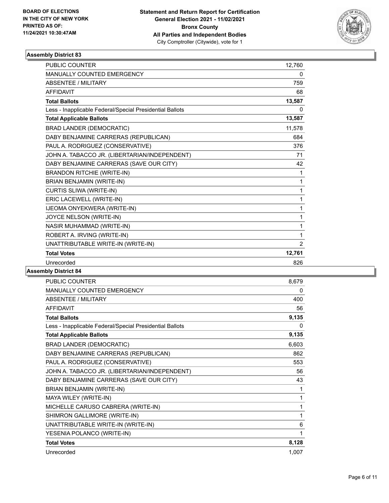

| <b>PUBLIC COUNTER</b>                                    | 12,760         |
|----------------------------------------------------------|----------------|
| <b>MANUALLY COUNTED EMERGENCY</b>                        | 0              |
| ABSENTEE / MILITARY                                      | 759            |
| <b>AFFIDAVIT</b>                                         | 68             |
| <b>Total Ballots</b>                                     | 13,587         |
| Less - Inapplicable Federal/Special Presidential Ballots | 0              |
| <b>Total Applicable Ballots</b>                          | 13,587         |
| <b>BRAD LANDER (DEMOCRATIC)</b>                          | 11,578         |
| DABY BENJAMINE CARRERAS (REPUBLICAN)                     | 684            |
| PAUL A. RODRIGUEZ (CONSERVATIVE)                         | 376            |
| JOHN A. TABACCO JR. (LIBERTARIAN/INDEPENDENT)            | 71             |
| DABY BENJAMINE CARRERAS (SAVE OUR CITY)                  | 42             |
| <b>BRANDON RITCHIE (WRITE-IN)</b>                        | 1              |
| BRIAN BENJAMIN (WRITE-IN)                                | $\mathbf{1}$   |
| CURTIS SLIWA (WRITE-IN)                                  | 1              |
| ERIC LACEWELL (WRITE-IN)                                 | 1              |
| IJEOMA ONYEKWERA (WRITE-IN)                              | 1              |
| JOYCE NELSON (WRITE-IN)                                  | 1              |
| NASIR MUHAMMAD (WRITE-IN)                                | 1              |
| ROBERT A. IRVING (WRITE-IN)                              | 1              |
| UNATTRIBUTABLE WRITE-IN (WRITE-IN)                       | $\overline{2}$ |
| <b>Total Votes</b>                                       | 12,761         |
| Unrecorded                                               | 826            |
|                                                          |                |

| <b>PUBLIC COUNTER</b>                                    | 8,679 |
|----------------------------------------------------------|-------|
| <b>MANUALLY COUNTED EMERGENCY</b>                        | 0     |
| <b>ABSENTEE / MILITARY</b>                               | 400   |
| <b>AFFIDAVIT</b>                                         | 56    |
| <b>Total Ballots</b>                                     | 9,135 |
| Less - Inapplicable Federal/Special Presidential Ballots | 0     |
| <b>Total Applicable Ballots</b>                          | 9,135 |
| <b>BRAD LANDER (DEMOCRATIC)</b>                          | 6,603 |
| DABY BENJAMINE CARRERAS (REPUBLICAN)                     | 862   |
| PAUL A. RODRIGUEZ (CONSERVATIVE)                         | 553   |
| JOHN A. TABACCO JR. (LIBERTARIAN/INDEPENDENT)            | 56    |
| DABY BENJAMINE CARRERAS (SAVE OUR CITY)                  | 43    |
| BRIAN BENJAMIN (WRITE-IN)                                | 1     |
| MAYA WILEY (WRITE-IN)                                    | 1     |
| MICHELLE CARUSO CABRERA (WRITE-IN)                       | 1     |
| SHIMRON GALLIMORE (WRITE-IN)                             | 1     |
| UNATTRIBUTABLE WRITE-IN (WRITE-IN)                       | 6     |
| YESENIA POLANCO (WRITE-IN)                               | 1     |
| <b>Total Votes</b>                                       | 8,128 |
| Unrecorded                                               | 1,007 |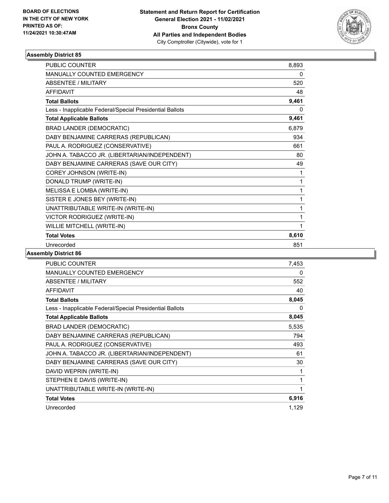

| <b>PUBLIC COUNTER</b>                                    | 8,893 |
|----------------------------------------------------------|-------|
| MANUALLY COUNTED EMERGENCY                               | 0     |
| <b>ABSENTEE / MILITARY</b>                               | 520   |
| <b>AFFIDAVIT</b>                                         | 48    |
| <b>Total Ballots</b>                                     | 9,461 |
| Less - Inapplicable Federal/Special Presidential Ballots | 0     |
| <b>Total Applicable Ballots</b>                          | 9,461 |
| <b>BRAD LANDER (DEMOCRATIC)</b>                          | 6,879 |
| DABY BENJAMINE CARRERAS (REPUBLICAN)                     | 934   |
| PAUL A. RODRIGUEZ (CONSERVATIVE)                         | 661   |
| JOHN A. TABACCO JR. (LIBERTARIAN/INDEPENDENT)            | 80    |
| DABY BENJAMINE CARRERAS (SAVE OUR CITY)                  | 49    |
| COREY JOHNSON (WRITE-IN)                                 | 1     |
| DONALD TRUMP (WRITE-IN)                                  | 1     |
| MELISSA E LOMBA (WRITE-IN)                               | 1     |
| SISTER E JONES BEY (WRITE-IN)                            | 1     |
| UNATTRIBUTABLE WRITE-IN (WRITE-IN)                       | 1     |
| VICTOR RODRIGUEZ (WRITE-IN)                              | 1     |
| WILLIE MITCHELL (WRITE-IN)                               | 1     |
| <b>Total Votes</b>                                       | 8,610 |
| Unrecorded                                               | 851   |

| PUBLIC COUNTER                                           | 7,453 |
|----------------------------------------------------------|-------|
| <b>MANUALLY COUNTED EMERGENCY</b>                        | 0     |
| ABSENTEE / MILITARY                                      | 552   |
| <b>AFFIDAVIT</b>                                         | 40    |
| <b>Total Ballots</b>                                     | 8,045 |
| Less - Inapplicable Federal/Special Presidential Ballots | 0     |
| <b>Total Applicable Ballots</b>                          | 8,045 |
| BRAD LANDER (DEMOCRATIC)                                 | 5,535 |
| DABY BENJAMINE CARRERAS (REPUBLICAN)                     | 794   |
| PAUL A. RODRIGUEZ (CONSERVATIVE)                         | 493   |
| JOHN A. TABACCO JR. (LIBERTARIAN/INDEPENDENT)            | 61    |
| DABY BENJAMINE CARRERAS (SAVE OUR CITY)                  | 30    |
| DAVID WEPRIN (WRITE-IN)                                  | 1     |
| STEPHEN E DAVIS (WRITE-IN)                               | 1     |
| UNATTRIBUTABLE WRITE-IN (WRITE-IN)                       | 1     |
| <b>Total Votes</b>                                       | 6,916 |
| Unrecorded                                               | 1,129 |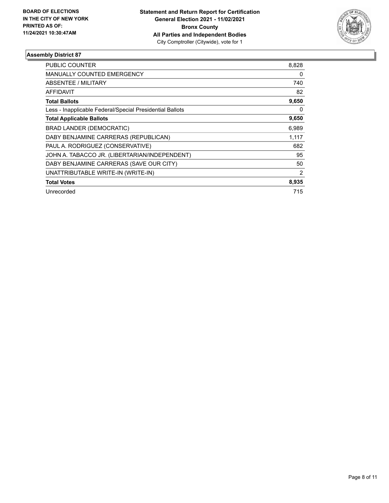

| PUBLIC COUNTER                                           | 8,828          |
|----------------------------------------------------------|----------------|
| <b>MANUALLY COUNTED EMERGENCY</b>                        | 0              |
| <b>ABSENTEE / MILITARY</b>                               | 740            |
| <b>AFFIDAVIT</b>                                         | 82             |
| <b>Total Ballots</b>                                     | 9,650          |
| Less - Inapplicable Federal/Special Presidential Ballots | 0              |
| <b>Total Applicable Ballots</b>                          | 9,650          |
| <b>BRAD LANDER (DEMOCRATIC)</b>                          | 6,989          |
| DABY BENJAMINE CARRERAS (REPUBLICAN)                     | 1,117          |
| PAUL A. RODRIGUEZ (CONSERVATIVE)                         | 682            |
| JOHN A. TABACCO JR. (LIBERTARIAN/INDEPENDENT)            | 95             |
| DABY BENJAMINE CARRERAS (SAVE OUR CITY)                  | 50             |
| UNATTRIBUTABLE WRITE-IN (WRITE-IN)                       | $\overline{2}$ |
| <b>Total Votes</b>                                       | 8,935          |
| Unrecorded                                               | 715            |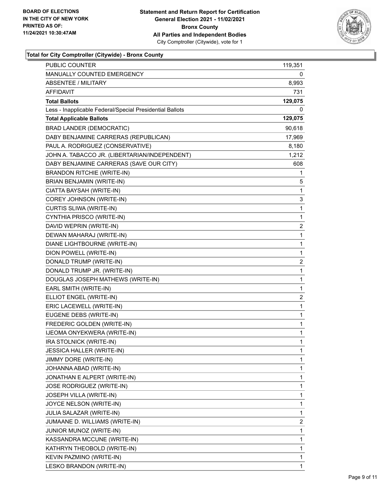

#### **Total for City Comptroller (Citywide) - Bronx County**

| PUBLIC COUNTER                                           | 119,351      |
|----------------------------------------------------------|--------------|
| <b>MANUALLY COUNTED EMERGENCY</b>                        | 0            |
| <b>ABSENTEE / MILITARY</b>                               | 8,993        |
| AFFIDAVIT                                                | 731          |
| <b>Total Ballots</b>                                     | 129,075      |
| Less - Inapplicable Federal/Special Presidential Ballots | 0            |
| <b>Total Applicable Ballots</b>                          | 129,075      |
| <b>BRAD LANDER (DEMOCRATIC)</b>                          | 90,618       |
| DABY BENJAMINE CARRERAS (REPUBLICAN)                     | 17,969       |
| PAUL A. RODRIGUEZ (CONSERVATIVE)                         | 8,180        |
| JOHN A. TABACCO JR. (LIBERTARIAN/INDEPENDENT)            | 1,212        |
| DABY BENJAMINE CARRERAS (SAVE OUR CITY)                  | 608          |
| <b>BRANDON RITCHIE (WRITE-IN)</b>                        | 1            |
| BRIAN BENJAMIN (WRITE-IN)                                | 5            |
| CIATTA BAYSAH (WRITE-IN)                                 | 1            |
| COREY JOHNSON (WRITE-IN)                                 | 3            |
| CURTIS SLIWA (WRITE-IN)                                  | $\mathbf 1$  |
| CYNTHIA PRISCO (WRITE-IN)                                | 1            |
| DAVID WEPRIN (WRITE-IN)                                  | 2            |
| DEWAN MAHARAJ (WRITE-IN)                                 | $\mathbf{1}$ |
| DIANE LIGHTBOURNE (WRITE-IN)                             | 1            |
| DION POWELL (WRITE-IN)                                   | $\mathbf{1}$ |
| DONALD TRUMP (WRITE-IN)                                  | 2            |
| DONALD TRUMP JR. (WRITE-IN)                              | 1            |
| DOUGLAS JOSEPH MATHEWS (WRITE-IN)                        | 1            |
| EARL SMITH (WRITE-IN)                                    | 1            |
| ELLIOT ENGEL (WRITE-IN)                                  | 2            |
| ERIC LACEWELL (WRITE-IN)                                 | 1            |
| EUGENE DEBS (WRITE-IN)                                   | 1            |
| FREDERIC GOLDEN (WRITE-IN)                               | 1            |
| IJEOMA ONYEKWERA (WRITE-IN)                              | 1            |
| IRA STOLNICK (WRITE-IN)                                  | $\mathbf 1$  |
| JESSICA HALLER (WRITE-IN)                                | 1            |
| JIMMY DORE (WRITE-IN)                                    | 1            |
| JOHANNA ABAD (WRITE-IN)                                  | 1            |
| JONATHAN E ALPERT (WRITE-IN)                             | 1            |
| <b>JOSE RODRIGUEZ (WRITE-IN)</b>                         | 1            |
| JOSEPH VILLA (WRITE-IN)                                  | 1            |
| JOYCE NELSON (WRITE-IN)                                  | 1            |
| JULIA SALAZAR (WRITE-IN)                                 | 1            |
| JUMAANE D. WILLIAMS (WRITE-IN)                           | 2            |
| JUNIOR MUNOZ (WRITE-IN)                                  | 1            |
| KASSANDRA MCCUNE (WRITE-IN)                              | 1            |
| KATHRYN THEOBOLD (WRITE-IN)                              | 1            |
| KEVIN PAZMINO (WRITE-IN)                                 | 1            |
| LESKO BRANDON (WRITE-IN)                                 | 1            |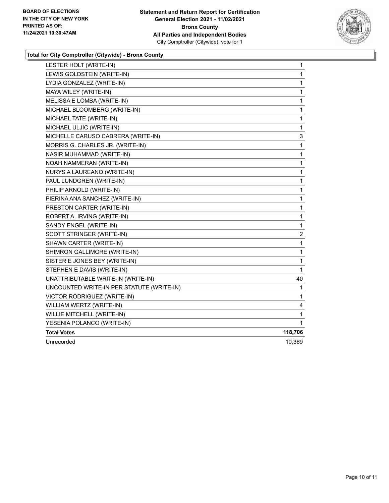

#### **Total for City Comptroller (Citywide) - Bronx County**

| LESTER HOLT (WRITE-IN)                    | 1              |
|-------------------------------------------|----------------|
| LEWIS GOLDSTEIN (WRITE-IN)                | 1              |
| LYDIA GONZALEZ (WRITE-IN)                 | $\mathbf 1$    |
| MAYA WILEY (WRITE-IN)                     | 1              |
| MELISSA E LOMBA (WRITE-IN)                | 1              |
| MICHAEL BLOOMBERG (WRITE-IN)              | $\mathbf 1$    |
| MICHAEL TATE (WRITE-IN)                   | 1              |
| MICHAEL ULJIC (WRITE-IN)                  | $\mathbf 1$    |
| MICHELLE CARUSO CABRERA (WRITE-IN)        | 3              |
| MORRIS G. CHARLES JR. (WRITE-IN)          | $\mathbf{1}$   |
| NASIR MUHAMMAD (WRITE-IN)                 | $\mathbf 1$    |
| NOAH NAMMERAN (WRITE-IN)                  | 1              |
| NURYS A LAUREANO (WRITE-IN)               | 1              |
| PAUL LUNDGREN (WRITE-IN)                  | 1              |
| PHILIP ARNOLD (WRITE-IN)                  | 1              |
| PIERINA ANA SANCHEZ (WRITE-IN)            | 1              |
| PRESTON CARTER (WRITE-IN)                 | 1              |
| ROBERT A. IRVING (WRITE-IN)               | 1              |
| SANDY ENGEL (WRITE-IN)                    | $\mathbf{1}$   |
| SCOTT STRINGER (WRITE-IN)                 | $\overline{c}$ |
| SHAWN CARTER (WRITE-IN)                   | 1              |
| SHIMRON GALLIMORE (WRITE-IN)              | $\mathbf 1$    |
| SISTER E JONES BEY (WRITE-IN)             | 1              |
| STEPHEN E DAVIS (WRITE-IN)                | 1              |
| UNATTRIBUTABLE WRITE-IN (WRITE-IN)        | 40             |
| UNCOUNTED WRITE-IN PER STATUTE (WRITE-IN) | 1              |
| VICTOR RODRIGUEZ (WRITE-IN)               | 1              |
| WILLIAM WERTZ (WRITE-IN)                  | 4              |
| WILLIE MITCHELL (WRITE-IN)                | $\mathbf{1}$   |
| YESENIA POLANCO (WRITE-IN)                | 1              |
| <b>Total Votes</b>                        | 118,706        |
| Unrecorded                                | 10,369         |